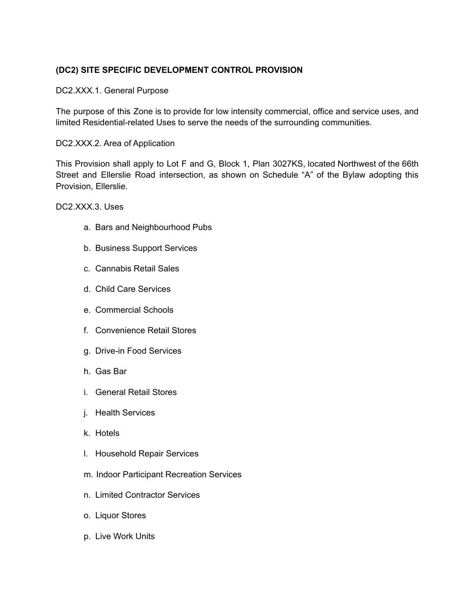## **(DC2) SITE SPECIFIC DEVELOPMENT CONTROL PROVISION**

## DC2.XXX.1. General Purpose

The purpose of this Zone is to provide for low intensity commercial, office and service uses, and limited Residential-related Uses to serve the needs of the surrounding communities.

## DC2.XXX.2. Area of Application

This Provision shall apply to Lot F and G, Block 1, Plan 3027KS, located Northwest of the 66th Street and Ellerslie Road intersection, as shown on Schedule "A" of the Bylaw adopting this Provision, Ellerslie.

DC2.XXX.3. Uses

- a. Bars and Neighbourhood Pubs
- b. Business Support Services
- c. Cannabis Retail Sales
- d. Child Care Services
- e. Commercial Schools
- f. Convenience Retail Stores
- g. Drive-in Food Services
- h. Gas Bar
- i. General Retail Stores
- j. Health Services
- k. Hotels
- l. Household Repair Services
- m. Indoor Participant Recreation Services
- n. Limited Contractor Services
- o. Liquor Stores
- p. Live Work Units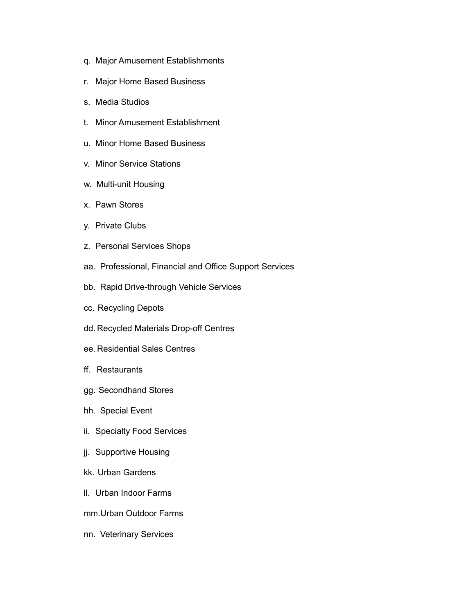- q. Major Amusement Establishments
- r. Major Home Based Business
- s. Media Studios
- t. Minor Amusement Establishment
- u. Minor Home Based Business
- v. Minor Service Stations
- w. Multi-unit Housing
- x. Pawn Stores
- y. Private Clubs
- z. Personal Services Shops
- aa. Professional, Financial and Office Support Services
- bb. Rapid Drive-through Vehicle Services
- cc. Recycling Depots
- dd. Recycled Materials Drop-off Centres
- ee. Residential Sales Centres
- ff. Restaurants
- gg. Secondhand Stores
- hh. Special Event
- ii. Specialty Food Services
- jj. Supportive Housing
- kk. Urban Gardens
- ll. Urban Indoor Farms
- mm.Urban Outdoor Farms
- nn. Veterinary Services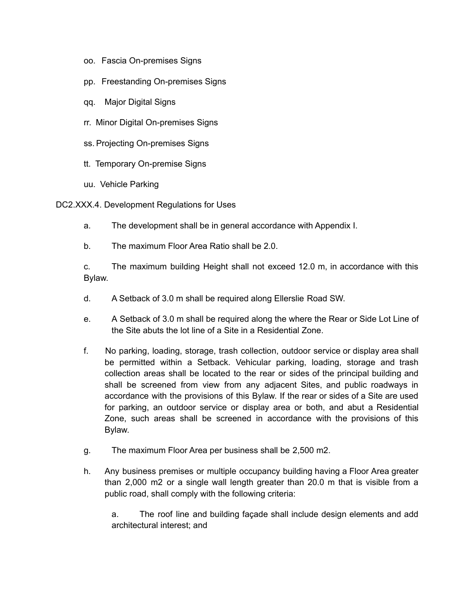- oo. Fascia On-premises Signs
- pp. Freestanding On-premises Signs
- qq. Major Digital Signs
- rr. Minor Digital On-premises Signs
- ss. Projecting On-premises Signs
- tt. Temporary On-premise Signs
- uu. Vehicle Parking
- DC2.XXX.4. Development Regulations for Uses
	- a. The development shall be in general accordance with Appendix I.
	- b. The maximum Floor Area Ratio shall be 2.0.

c. The maximum building Height shall not exceed 12.0 m, in accordance with this Bylaw.

- d. A Setback of 3.0 m shall be required along Ellerslie Road SW.
- e. A Setback of 3.0 m shall be required along the where the Rear or Side Lot Line of the Site abuts the lot line of a Site in a Residential Zone.
- f. No parking, loading, storage, trash collection, outdoor service or display area shall be permitted within a Setback. Vehicular parking, loading, storage and trash collection areas shall be located to the rear or sides of the principal building and shall be screened from view from any adjacent Sites, and public roadways in accordance with the provisions of this Bylaw. If the rear or sides of a Site are used for parking, an outdoor service or display area or both, and abut a Residential Zone, such areas shall be screened in accordance with the provisions of this Bylaw.
- g. The maximum Floor Area per business shall be 2,500 m2.
- h. Any business premises or multiple occupancy building having a Floor Area greater than 2,000 m2 or a single wall length greater than 20.0 m that is visible from a public road, shall comply with the following criteria:

a. The roof line and building façade shall include design elements and add architectural interest; and